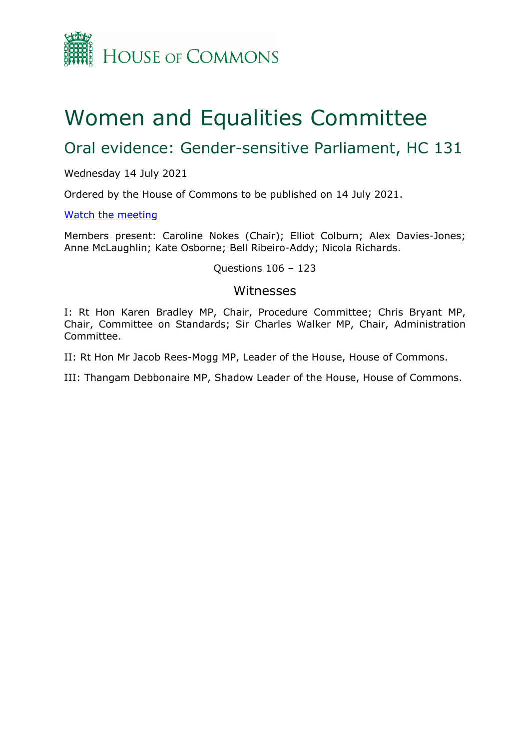

# Women and Equalities Committee

# Oral evidence: Gender-sensitive Parliament, HC 131

#### Wednesday 14 July 2021

Ordered by the House of Commons to be published on 14 July 2021.

#### [Watch](https://www.parliamentlive.tv/Event/Index/df13acdf-b0c9-4a06-884f-5be98baa953c) [the](https://www.parliamentlive.tv/Event/Index/df13acdf-b0c9-4a06-884f-5be98baa953c) [meeting](https://www.parliamentlive.tv/Event/Index/df13acdf-b0c9-4a06-884f-5be98baa953c)

Members present: Caroline Nokes (Chair); Elliot Colburn; Alex Davies-Jones; Anne McLaughlin; Kate Osborne; Bell Ribeiro-Addy; Nicola Richards.

#### Questions 106 – 123

### Witnesses

I: Rt Hon Karen Bradley MP, Chair, Procedure Committee; Chris Bryant MP, Chair, Committee on Standards; Sir Charles Walker MP, Chair, Administration Committee.

II: Rt Hon Mr Jacob Rees-Mogg MP, Leader of the House, House of Commons.

III: Thangam Debbonaire MP, Shadow Leader of the House, House of Commons.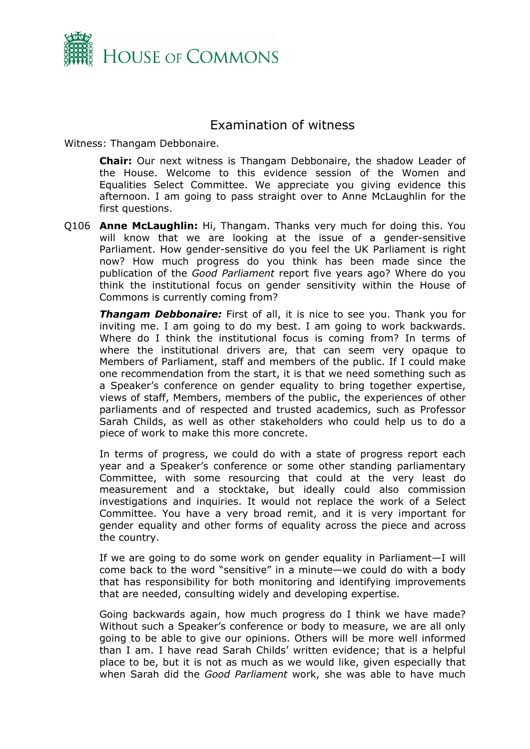

## Examination of witness

Witness: Thangam Debbonaire.

**Chair:** Our next witness is Thangam Debbonaire, the shadow Leader of the House. Welcome to this evidence session of the Women and Equalities Select Committee. We appreciate you giving evidence this afternoon. I am going to pass straight over to Anne McLaughlin for the first questions.

Q106 **Anne McLaughlin:** Hi, Thangam. Thanks very much for doing this. You will know that we are looking at the issue of a gender-sensitive Parliament. How gender-sensitive do you feel the UK Parliament is right now? How much progress do you think has been made since the publication of the *Good Parliament* report five years ago? Where do you think the institutional focus on gender sensitivity within the House of Commons is currently coming from?

*Thangam Debbonaire:* First of all, it is nice to see you. Thank you for inviting me. I am going to do my best. I am going to work backwards. Where do I think the institutional focus is coming from? In terms of where the institutional drivers are, that can seem very opaque to Members of Parliament, staff and members of the public. If I could make one recommendation from the start, it is that we need something such as a Speaker's conference on gender equality to bring together expertise, views of staff, Members, members of the public, the experiences of other parliaments and of respected and trusted academics, such as Professor Sarah Childs, as well as other stakeholders who could help us to do a piece of work to make this more concrete.

In terms of progress, we could do with a state of progress report each year and a Speaker's conference or some other standing parliamentary Committee, with some resourcing that could at the very least do measurement and a stocktake, but ideally could also commission investigations and inquiries. It would not replace the work of a Select Committee. You have a very broad remit, and it is very important for gender equality and other forms of equality across the piece and across the country.

If we are going to do some work on gender equality in Parliament—I will come back to the word "sensitive" in a minute—we could do with a body that has responsibility for both monitoring and identifying improvements that are needed, consulting widely and developing expertise.

Going backwards again, how much progress do I think we have made? Without such a Speaker's conference or body to measure, we are all only going to be able to give our opinions. Others will be more well informed than I am. I have read Sarah Childs' written evidence; that is a helpful place to be, but it is not as much as we would like, given especially that when Sarah did the *Good Parliament* work, she was able to have much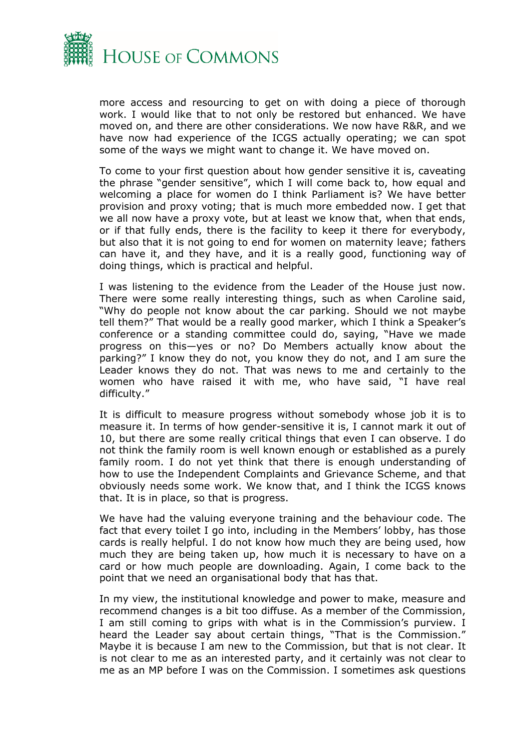

more access and resourcing to get on with doing a piece of thorough work. I would like that to not only be restored but enhanced. We have moved on, and there are other considerations. We now have R&R, and we have now had experience of the ICGS actually operating; we can spot some of the ways we might want to change it. We have moved on.

To come to your first question about how gender sensitive it is, caveating the phrase "gender sensitive", which I will come back to, how equal and welcoming a place for women do I think Parliament is? We have better provision and proxy voting; that is much more embedded now. I get that we all now have a proxy vote, but at least we know that, when that ends, or if that fully ends, there is the facility to keep it there for everybody, but also that it is not going to end for women on maternity leave; fathers can have it, and they have, and it is a really good, functioning way of doing things, which is practical and helpful.

I was listening to the evidence from the Leader of the House just now. There were some really interesting things, such as when Caroline said, "Why do people not know about the car parking. Should we not maybe tell them?" That would be a really good marker, which I think a Speaker's conference or a standing committee could do, saying, "Have we made progress on this—yes or no? Do Members actually know about the parking?" I know they do not, you know they do not, and I am sure the Leader knows they do not. That was news to me and certainly to the women who have raised it with me, who have said, "I have real difficulty."

It is difficult to measure progress without somebody whose job it is to measure it. In terms of how gender-sensitive it is, I cannot mark it out of 10, but there are some really critical things that even I can observe. I do not think the family room is well known enough or established as a purely family room. I do not yet think that there is enough understanding of how to use the Independent Complaints and Grievance Scheme, and that obviously needs some work. We know that, and I think the ICGS knows that. It is in place, so that is progress.

We have had the valuing everyone training and the behaviour code. The fact that every toilet I go into, including in the Members' lobby, has those cards is really helpful. I do not know how much they are being used, how much they are being taken up, how much it is necessary to have on a card or how much people are downloading. Again, I come back to the point that we need an organisational body that has that.

In my view, the institutional knowledge and power to make, measure and recommend changes is a bit too diffuse. As a member of the Commission, I am still coming to grips with what is in the Commission's purview. I heard the Leader say about certain things, "That is the Commission." Maybe it is because I am new to the Commission, but that is not clear. It is not clear to me as an interested party, and it certainly was not clear to me as an MP before I was on the Commission. I sometimes ask questions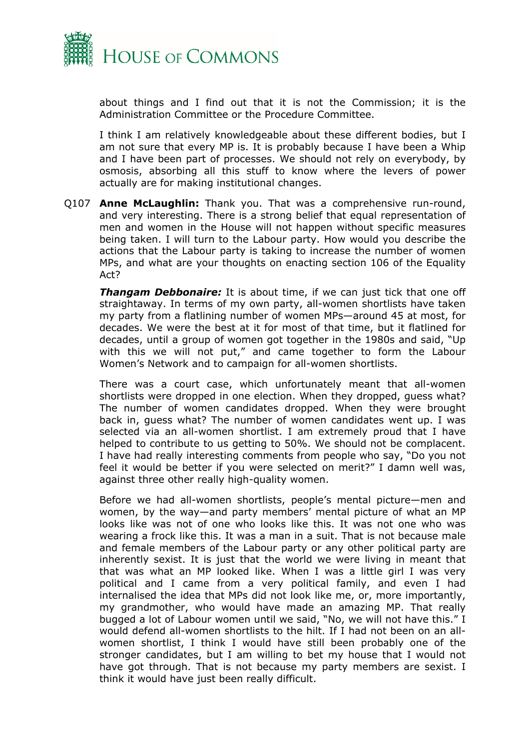

about things and I find out that it is not the Commission; it is the Administration Committee or the Procedure Committee.

I think I am relatively knowledgeable about these different bodies, but I am not sure that every MP is. It is probably because I have been a Whip and I have been part of processes. We should not rely on everybody, by osmosis, absorbing all this stuff to know where the levers of power actually are for making institutional changes.

Q107 **Anne McLaughlin:** Thank you. That was a comprehensive run-round, and very interesting. There is a strong belief that equal representation of men and women in the House will not happen without specific measures being taken. I will turn to the Labour party. How would you describe the actions that the Labour party is taking to increase the number of women MPs, and what are your thoughts on enacting section 106 of the Equality Act?

*Thangam Debbonaire:* It is about time, if we can just tick that one off straightaway. In terms of my own party, all-women shortlists have taken my party from a flatlining number of women MPs—around 45 at most, for decades. We were the best at it for most of that time, but it flatlined for decades, until a group of women got together in the 1980s and said, "Up with this we will not put," and came together to form the Labour Women's Network and to campaign for all-women shortlists.

There was a court case, which unfortunately meant that all-women shortlists were dropped in one election. When they dropped, guess what? The number of women candidates dropped. When they were brought back in, guess what? The number of women candidates went up. I was selected via an all-women shortlist. I am extremely proud that I have helped to contribute to us getting to 50%. We should not be complacent. I have had really interesting comments from people who say, "Do you not feel it would be better if you were selected on merit?" I damn well was, against three other really high-quality women.

Before we had all-women shortlists, people's mental picture—men and women, by the way—and party members' mental picture of what an MP looks like was not of one who looks like this. It was not one who was wearing a frock like this. It was a man in a suit. That is not because male and female members of the Labour party or any other political party are inherently sexist. It is just that the world we were living in meant that that was what an MP looked like. When I was a little girl I was very political and I came from a very political family, and even I had internalised the idea that MPs did not look like me, or, more importantly, my grandmother, who would have made an amazing MP. That really bugged a lot of Labour women until we said, "No, we will not have this." I would defend all-women shortlists to the hilt. If I had not been on an allwomen shortlist, I think I would have still been probably one of the stronger candidates, but I am willing to bet my house that I would not have got through. That is not because my party members are sexist. I think it would have just been really difficult.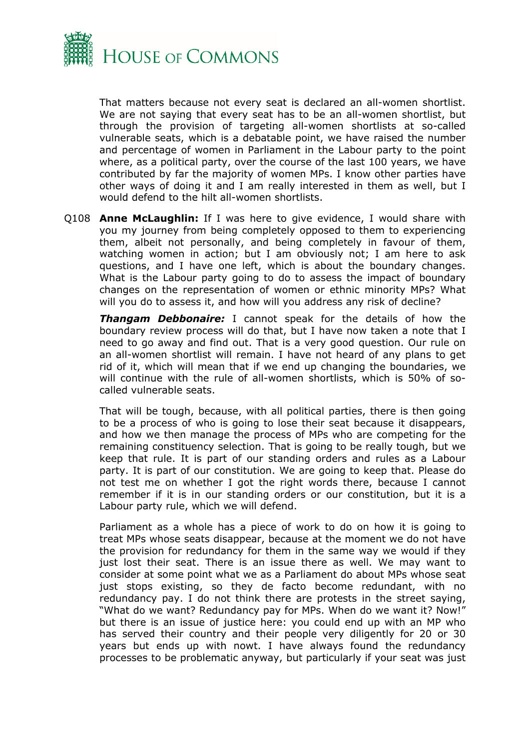

That matters because not every seat is declared an all-women shortlist. We are not saying that every seat has to be an all-women shortlist, but through the provision of targeting all-women shortlists at so-called vulnerable seats, which is a debatable point, we have raised the number and percentage of women in Parliament in the Labour party to the point where, as a political party, over the course of the last 100 years, we have contributed by far the majority of women MPs. I know other parties have other ways of doing it and I am really interested in them as well, but I would defend to the hilt all-women shortlists.

Q108 **Anne McLaughlin:** If I was here to give evidence, I would share with you my journey from being completely opposed to them to experiencing them, albeit not personally, and being completely in favour of them, watching women in action; but I am obviously not; I am here to ask questions, and I have one left, which is about the boundary changes. What is the Labour party going to do to assess the impact of boundary changes on the representation of women or ethnic minority MPs? What will you do to assess it, and how will you address any risk of decline?

*Thangam Debbonaire:* I cannot speak for the details of how the boundary review process will do that, but I have now taken a note that I need to go away and find out. That is a very good question. Our rule on an all-women shortlist will remain. I have not heard of any plans to get rid of it, which will mean that if we end up changing the boundaries, we will continue with the rule of all-women shortlists, which is 50% of socalled vulnerable seats.

That will be tough, because, with all political parties, there is then going to be a process of who is going to lose their seat because it disappears, and how we then manage the process of MPs who are competing for the remaining constituency selection. That is going to be really tough, but we keep that rule. It is part of our standing orders and rules as a Labour party. It is part of our constitution. We are going to keep that. Please do not test me on whether I got the right words there, because I cannot remember if it is in our standing orders or our constitution, but it is a Labour party rule, which we will defend.

Parliament as a whole has a piece of work to do on how it is going to treat MPs whose seats disappear, because at the moment we do not have the provision for redundancy for them in the same way we would if they just lost their seat. There is an issue there as well. We may want to consider at some point what we as a Parliament do about MPs whose seat just stops existing, so they de facto become redundant, with no redundancy pay. I do not think there are protests in the street saying, "What do we want? Redundancy pay for MPs. When do we want it? Now!" but there is an issue of justice here: you could end up with an MP who has served their country and their people very diligently for 20 or 30 years but ends up with nowt. I have always found the redundancy processes to be problematic anyway, but particularly if your seat was just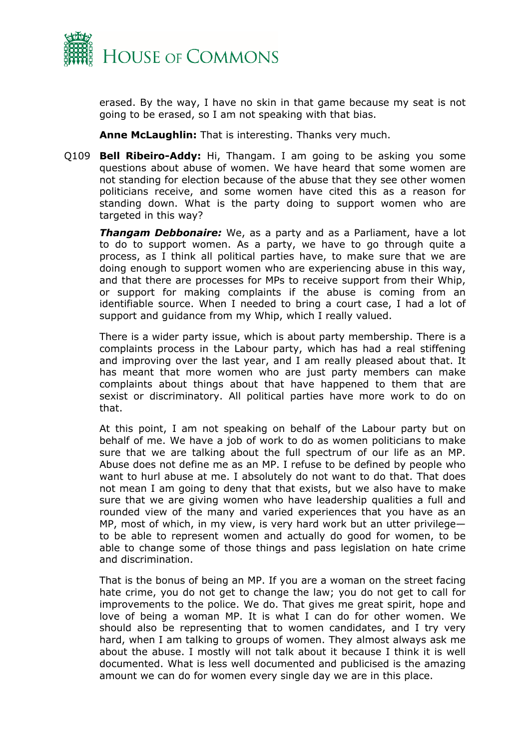

erased. By the way, I have no skin in that game because my seat is not going to be erased, so I am not speaking with that bias.

**Anne McLaughlin:** That is interesting. Thanks very much.

Q109 **Bell Ribeiro-Addy:** Hi, Thangam. I am going to be asking you some questions about abuse of women. We have heard that some women are not standing for election because of the abuse that they see other women politicians receive, and some women have cited this as a reason for standing down. What is the party doing to support women who are targeted in this way?

*Thangam Debbonaire:* We, as a party and as a Parliament, have a lot to do to support women. As a party, we have to go through quite a process, as I think all political parties have, to make sure that we are doing enough to support women who are experiencing abuse in this way, and that there are processes for MPs to receive support from their Whip, or support for making complaints if the abuse is coming from an identifiable source. When I needed to bring a court case, I had a lot of support and guidance from my Whip, which I really valued.

There is a wider party issue, which is about party membership. There is a complaints process in the Labour party, which has had a real stiffening and improving over the last year, and I am really pleased about that. It has meant that more women who are just party members can make complaints about things about that have happened to them that are sexist or discriminatory. All political parties have more work to do on that.

At this point, I am not speaking on behalf of the Labour party but on behalf of me. We have a job of work to do as women politicians to make sure that we are talking about the full spectrum of our life as an MP. Abuse does not define me as an MP. I refuse to be defined by people who want to hurl abuse at me. I absolutely do not want to do that. That does not mean I am going to deny that that exists, but we also have to make sure that we are giving women who have leadership qualities a full and rounded view of the many and varied experiences that you have as an MP, most of which, in my view, is very hard work but an utter privilege to be able to represent women and actually do good for women, to be able to change some of those things and pass legislation on hate crime and discrimination.

That is the bonus of being an MP. If you are a woman on the street facing hate crime, you do not get to change the law; you do not get to call for improvements to the police. We do. That gives me great spirit, hope and love of being a woman MP. It is what I can do for other women. We should also be representing that to women candidates, and I try very hard, when I am talking to groups of women. They almost always ask me about the abuse. I mostly will not talk about it because I think it is well documented. What is less well documented and publicised is the amazing amount we can do for women every single day we are in this place.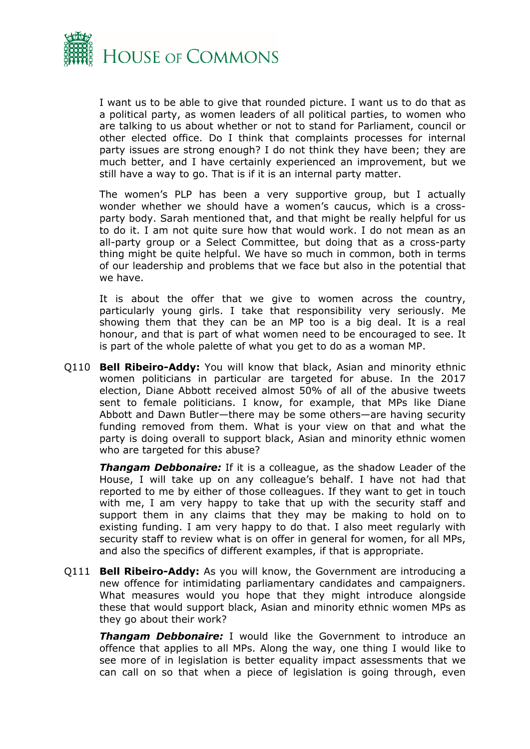

I want us to be able to give that rounded picture. I want us to do that as a political party, as women leaders of all political parties, to women who are talking to us about whether or not to stand for Parliament, council or other elected office. Do I think that complaints processes for internal party issues are strong enough? I do not think they have been; they are much better, and I have certainly experienced an improvement, but we still have a way to go. That is if it is an internal party matter.

The women's PLP has been a very supportive group, but I actually wonder whether we should have a women's caucus, which is a crossparty body. Sarah mentioned that, and that might be really helpful for us to do it. I am not quite sure how that would work. I do not mean as an all-party group or a Select Committee, but doing that as a cross-party thing might be quite helpful. We have so much in common, both in terms of our leadership and problems that we face but also in the potential that we have.

It is about the offer that we give to women across the country, particularly young girls. I take that responsibility very seriously. Me showing them that they can be an MP too is a big deal. It is a real honour, and that is part of what women need to be encouraged to see. It is part of the whole palette of what you get to do as a woman MP.

Q110 **Bell Ribeiro-Addy:** You will know that black, Asian and minority ethnic women politicians in particular are targeted for abuse. In the 2017 election, Diane Abbott received almost 50% of all of the abusive tweets sent to female politicians. I know, for example, that MPs like Diane Abbott and Dawn Butler—there may be some others—are having security funding removed from them. What is your view on that and what the party is doing overall to support black, Asian and minority ethnic women who are targeted for this abuse?

*Thangam Debbonaire:* If it is a colleague, as the shadow Leader of the House, I will take up on any colleague's behalf. I have not had that reported to me by either of those colleagues. If they want to get in touch with me, I am very happy to take that up with the security staff and support them in any claims that they may be making to hold on to existing funding. I am very happy to do that. I also meet regularly with security staff to review what is on offer in general for women, for all MPs, and also the specifics of different examples, if that is appropriate.

Q111 **Bell Ribeiro-Addy:** As you will know, the Government are introducing a new offence for intimidating parliamentary candidates and campaigners. What measures would you hope that they might introduce alongside these that would support black, Asian and minority ethnic women MPs as they go about their work?

**Thangam Debbonaire:** I would like the Government to introduce an offence that applies to all MPs. Along the way, one thing I would like to see more of in legislation is better equality impact assessments that we can call on so that when a piece of legislation is going through, even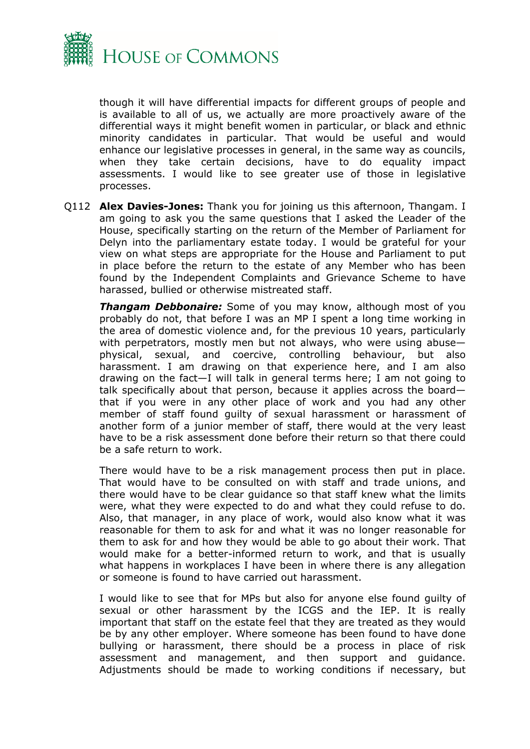

though it will have differential impacts for different groups of people and is available to all of us, we actually are more proactively aware of the differential ways it might benefit women in particular, or black and ethnic minority candidates in particular. That would be useful and would enhance our legislative processes in general, in the same way as councils, when they take certain decisions, have to do equality impact assessments. I would like to see greater use of those in legislative processes.

Q112 **Alex Davies-Jones:** Thank you for joining us this afternoon, Thangam. I am going to ask you the same questions that I asked the Leader of the House, specifically starting on the return of the Member of Parliament for Delyn into the parliamentary estate today. I would be grateful for your view on what steps are appropriate for the House and Parliament to put in place before the return to the estate of any Member who has been found by the Independent Complaints and Grievance Scheme to have harassed, bullied or otherwise mistreated staff.

*Thangam Debbonaire:* Some of you may know, although most of you probably do not, that before I was an MP I spent a long time working in the area of domestic violence and, for the previous 10 years, particularly with perpetrators, mostly men but not always, who were using abuse physical, sexual, and coercive, controlling behaviour, but also harassment. I am drawing on that experience here, and I am also drawing on the fact—I will talk in general terms here; I am not going to talk specifically about that person, because it applies across the board that if you were in any other place of work and you had any other member of staff found guilty of sexual harassment or harassment of another form of a junior member of staff, there would at the very least have to be a risk assessment done before their return so that there could be a safe return to work.

There would have to be a risk management process then put in place. That would have to be consulted on with staff and trade unions, and there would have to be clear guidance so that staff knew what the limits were, what they were expected to do and what they could refuse to do. Also, that manager, in any place of work, would also know what it was reasonable for them to ask for and what it was no longer reasonable for them to ask for and how they would be able to go about their work. That would make for a better-informed return to work, and that is usually what happens in workplaces I have been in where there is any allegation or someone is found to have carried out harassment.

I would like to see that for MPs but also for anyone else found guilty of sexual or other harassment by the ICGS and the IEP. It is really important that staff on the estate feel that they are treated as they would be by any other employer. Where someone has been found to have done bullying or harassment, there should be a process in place of risk assessment and management, and then support and guidance. Adjustments should be made to working conditions if necessary, but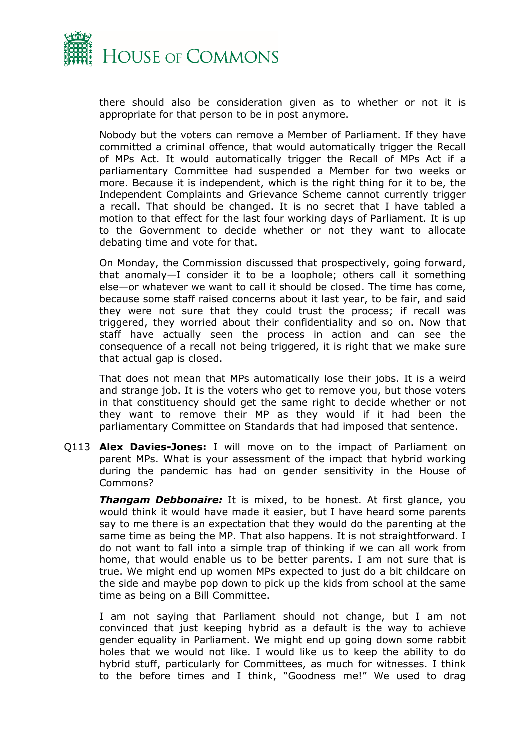

there should also be consideration given as to whether or not it is appropriate for that person to be in post anymore.

Nobody but the voters can remove a Member of Parliament. If they have committed a criminal offence, that would automatically trigger the Recall of MPs Act. It would automatically trigger the Recall of MPs Act if a parliamentary Committee had suspended a Member for two weeks or more. Because it is independent, which is the right thing for it to be, the Independent Complaints and Grievance Scheme cannot currently trigger a recall. That should be changed. It is no secret that I have tabled a motion to that effect for the last four working days of Parliament. It is up to the Government to decide whether or not they want to allocate debating time and vote for that.

On Monday, the Commission discussed that prospectively, going forward, that anomaly—I consider it to be a loophole; others call it something else—or whatever we want to call it should be closed. The time has come, because some staff raised concerns about it last year, to be fair, and said they were not sure that they could trust the process; if recall was triggered, they worried about their confidentiality and so on. Now that staff have actually seen the process in action and can see the consequence of a recall not being triggered, it is right that we make sure that actual gap is closed.

That does not mean that MPs automatically lose their jobs. It is a weird and strange job. It is the voters who get to remove you, but those voters in that constituency should get the same right to decide whether or not they want to remove their MP as they would if it had been the parliamentary Committee on Standards that had imposed that sentence.

Q113 **Alex Davies-Jones:** I will move on to the impact of Parliament on parent MPs. What is your assessment of the impact that hybrid working during the pandemic has had on gender sensitivity in the House of Commons?

*Thangam Debbonaire:* It is mixed, to be honest. At first glance, you would think it would have made it easier, but I have heard some parents say to me there is an expectation that they would do the parenting at the same time as being the MP. That also happens. It is not straightforward. I do not want to fall into a simple trap of thinking if we can all work from home, that would enable us to be better parents. I am not sure that is true. We might end up women MPs expected to just do a bit childcare on the side and maybe pop down to pick up the kids from school at the same time as being on a Bill Committee.

I am not saying that Parliament should not change, but I am not convinced that just keeping hybrid as a default is the way to achieve gender equality in Parliament. We might end up going down some rabbit holes that we would not like. I would like us to keep the ability to do hybrid stuff, particularly for Committees, as much for witnesses. I think to the before times and I think, "Goodness me!" We used to drag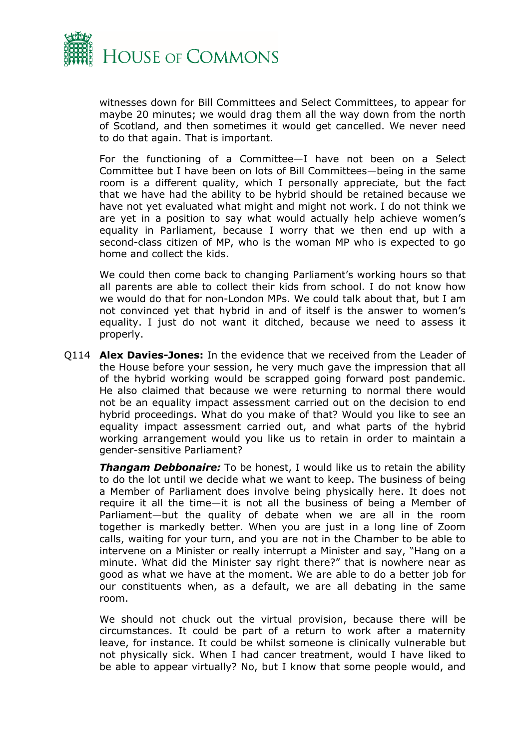

witnesses down for Bill Committees and Select Committees, to appear for maybe 20 minutes; we would drag them all the way down from the north of Scotland, and then sometimes it would get cancelled. We never need to do that again. That is important.

For the functioning of a Committee—I have not been on a Select Committee but I have been on lots of Bill Committees—being in the same room is a different quality, which I personally appreciate, but the fact that we have had the ability to be hybrid should be retained because we have not yet evaluated what might and might not work. I do not think we are yet in a position to say what would actually help achieve women's equality in Parliament, because I worry that we then end up with a second-class citizen of MP, who is the woman MP who is expected to go home and collect the kids.

We could then come back to changing Parliament's working hours so that all parents are able to collect their kids from school. I do not know how we would do that for non-London MPs. We could talk about that, but I am not convinced yet that hybrid in and of itself is the answer to women's equality. I just do not want it ditched, because we need to assess it properly.

Q114 **Alex Davies-Jones:** In the evidence that we received from the Leader of the House before your session, he very much gave the impression that all of the hybrid working would be scrapped going forward post pandemic. He also claimed that because we were returning to normal there would not be an equality impact assessment carried out on the decision to end hybrid proceedings. What do you make of that? Would you like to see an equality impact assessment carried out, and what parts of the hybrid working arrangement would you like us to retain in order to maintain a gender-sensitive Parliament?

**Thangam Debbonaire:** To be honest, I would like us to retain the ability to do the lot until we decide what we want to keep. The business of being a Member of Parliament does involve being physically here. It does not require it all the time—it is not all the business of being a Member of Parliament—but the quality of debate when we are all in the room together is markedly better. When you are just in a long line of Zoom calls, waiting for your turn, and you are not in the Chamber to be able to intervene on a Minister or really interrupt a Minister and say, "Hang on a minute. What did the Minister say right there?" that is nowhere near as good as what we have at the moment. We are able to do a better job for our constituents when, as a default, we are all debating in the same room.

We should not chuck out the virtual provision, because there will be circumstances. It could be part of a return to work after a maternity leave, for instance. It could be whilst someone is clinically vulnerable but not physically sick. When I had cancer treatment, would I have liked to be able to appear virtually? No, but I know that some people would, and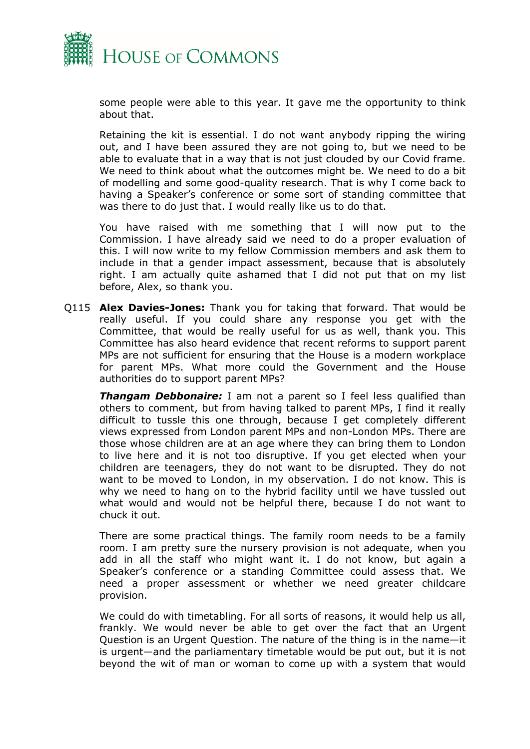

some people were able to this year. It gave me the opportunity to think about that.

Retaining the kit is essential. I do not want anybody ripping the wiring out, and I have been assured they are not going to, but we need to be able to evaluate that in a way that is not just clouded by our Covid frame. We need to think about what the outcomes might be. We need to do a bit of modelling and some good-quality research. That is why I come back to having a Speaker's conference or some sort of standing committee that was there to do just that. I would really like us to do that.

You have raised with me something that I will now put to the Commission. I have already said we need to do a proper evaluation of this. I will now write to my fellow Commission members and ask them to include in that a gender impact assessment, because that is absolutely right. I am actually quite ashamed that I did not put that on my list before, Alex, so thank you.

Q115 **Alex Davies-Jones:** Thank you for taking that forward. That would be really useful. If you could share any response you get with the Committee, that would be really useful for us as well, thank you. This Committee has also heard evidence that recent reforms to support parent MPs are not sufficient for ensuring that the House is a modern workplace for parent MPs. What more could the Government and the House authorities do to support parent MPs?

*Thangam Debbonaire:* I am not a parent so I feel less qualified than others to comment, but from having talked to parent MPs, I find it really difficult to tussle this one through, because I get completely different views expressed from London parent MPs and non-London MPs. There are those whose children are at an age where they can bring them to London to live here and it is not too disruptive. If you get elected when your children are teenagers, they do not want to be disrupted. They do not want to be moved to London, in my observation. I do not know. This is why we need to hang on to the hybrid facility until we have tussled out what would and would not be helpful there, because I do not want to chuck it out.

There are some practical things. The family room needs to be a family room. I am pretty sure the nursery provision is not adequate, when you add in all the staff who might want it. I do not know, but again a Speaker's conference or a standing Committee could assess that. We need a proper assessment or whether we need greater childcare provision.

We could do with timetabling. For all sorts of reasons, it would help us all, frankly. We would never be able to get over the fact that an Urgent Question is an Urgent Question. The nature of the thing is in the name—it is urgent—and the parliamentary timetable would be put out, but it is not beyond the wit of man or woman to come up with a system that would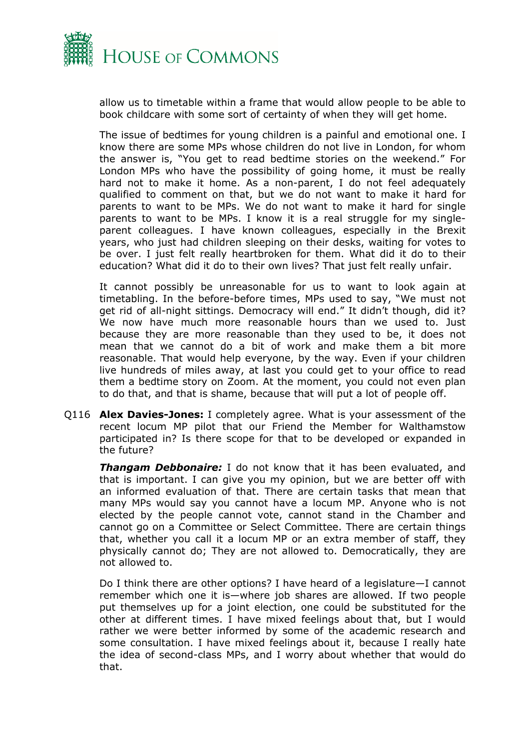

allow us to timetable within a frame that would allow people to be able to book childcare with some sort of certainty of when they will get home.

The issue of bedtimes for young children is a painful and emotional one. I know there are some MPs whose children do not live in London, for whom the answer is, "You get to read bedtime stories on the weekend." For London MPs who have the possibility of going home, it must be really hard not to make it home. As a non-parent, I do not feel adequately qualified to comment on that, but we do not want to make it hard for parents to want to be MPs. We do not want to make it hard for single parents to want to be MPs. I know it is a real struggle for my singleparent colleagues. I have known colleagues, especially in the Brexit years, who just had children sleeping on their desks, waiting for votes to be over. I just felt really heartbroken for them. What did it do to their education? What did it do to their own lives? That just felt really unfair.

It cannot possibly be unreasonable for us to want to look again at timetabling. In the before-before times, MPs used to say, "We must not get rid of all-night sittings. Democracy will end." It didn't though, did it? We now have much more reasonable hours than we used to. Just because they are more reasonable than they used to be, it does not mean that we cannot do a bit of work and make them a bit more reasonable. That would help everyone, by the way. Even if your children live hundreds of miles away, at last you could get to your office to read them a bedtime story on Zoom. At the moment, you could not even plan to do that, and that is shame, because that will put a lot of people off.

Q116 **Alex Davies-Jones:** I completely agree. What is your assessment of the recent locum MP pilot that our Friend the Member for Walthamstow participated in? Is there scope for that to be developed or expanded in the future?

*Thangam Debbonaire:* I do not know that it has been evaluated, and that is important. I can give you my opinion, but we are better off with an informed evaluation of that. There are certain tasks that mean that many MPs would say you cannot have a locum MP. Anyone who is not elected by the people cannot vote, cannot stand in the Chamber and cannot go on a Committee or Select Committee. There are certain things that, whether you call it a locum MP or an extra member of staff, they physically cannot do; They are not allowed to. Democratically, they are not allowed to.

Do I think there are other options? I have heard of a legislature—I cannot remember which one it is—where job shares are allowed. If two people put themselves up for a joint election, one could be substituted for the other at different times. I have mixed feelings about that, but I would rather we were better informed by some of the academic research and some consultation. I have mixed feelings about it, because I really hate the idea of second-class MPs, and I worry about whether that would do that.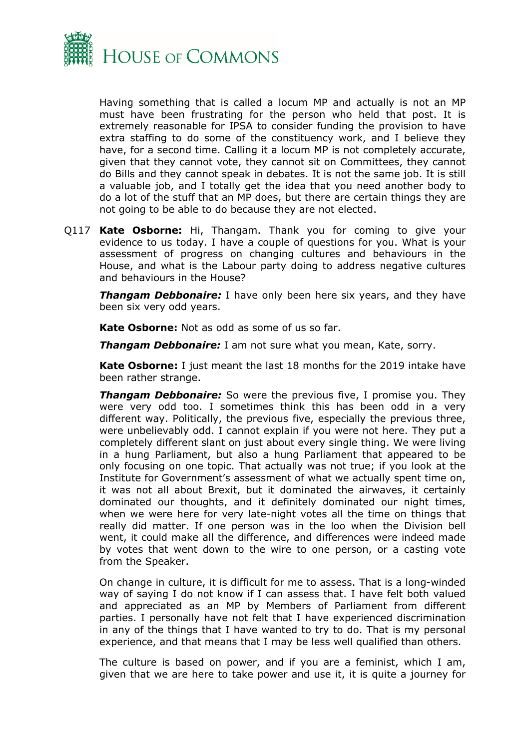

Having something that is called a locum MP and actually is not an MP must have been frustrating for the person who held that post. It is extremely reasonable for IPSA to consider funding the provision to have extra staffing to do some of the constituency work, and I believe they have, for a second time. Calling it a locum MP is not completely accurate, given that they cannot vote, they cannot sit on Committees, they cannot do Bills and they cannot speak in debates. It is not the same job. It is still a valuable job, and I totally get the idea that you need another body to do a lot of the stuff that an MP does, but there are certain things they are not going to be able to do because they are not elected.

Q117 **Kate Osborne:** Hi, Thangam. Thank you for coming to give your evidence to us today. I have a couple of questions for you. What is your assessment of progress on changing cultures and behaviours in the House, and what is the Labour party doing to address negative cultures and behaviours in the House?

**Thangam Debbonaire:** I have only been here six years, and they have been six very odd years.

**Kate Osborne:** Not as odd as some of us so far.

*Thangam Debbonaire:* I am not sure what you mean, Kate, sorry.

**Kate Osborne:** I just meant the last 18 months for the 2019 intake have been rather strange.

*Thangam Debbonaire:* So were the previous five, I promise you. They were very odd too. I sometimes think this has been odd in a very different way. Politically, the previous five, especially the previous three, were unbelievably odd. I cannot explain if you were not here. They put a completely different slant on just about every single thing. We were living in a hung Parliament, but also a hung Parliament that appeared to be only focusing on one topic. That actually was not true; if you look at the Institute for Government's assessment of what we actually spent time on, it was not all about Brexit, but it dominated the airwaves, it certainly dominated our thoughts, and it definitely dominated our night times, when we were here for very late-night votes all the time on things that really did matter. If one person was in the loo when the Division bell went, it could make all the difference, and differences were indeed made by votes that went down to the wire to one person, or a casting vote from the Speaker.

On change in culture, it is difficult for me to assess. That is a long-winded way of saying I do not know if I can assess that. I have felt both valued and appreciated as an MP by Members of Parliament from different parties. I personally have not felt that I have experienced discrimination in any of the things that I have wanted to try to do. That is my personal experience, and that means that I may be less well qualified than others.

The culture is based on power, and if you are a feminist, which I am, given that we are here to take power and use it, it is quite a journey for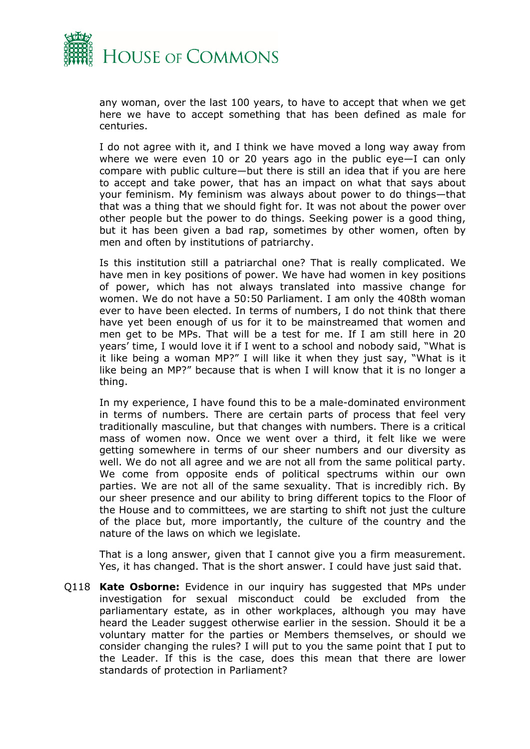

any woman, over the last 100 years, to have to accept that when we get here we have to accept something that has been defined as male for centuries.

I do not agree with it, and I think we have moved a long way away from where we were even 10 or 20 years ago in the public eye—I can only compare with public culture—but there is still an idea that if you are here to accept and take power, that has an impact on what that says about your feminism. My feminism was always about power to do things—that that was a thing that we should fight for. It was not about the power over other people but the power to do things. Seeking power is a good thing, but it has been given a bad rap, sometimes by other women, often by men and often by institutions of patriarchy.

Is this institution still a patriarchal one? That is really complicated. We have men in key positions of power. We have had women in key positions of power, which has not always translated into massive change for women. We do not have a 50:50 Parliament. I am only the 408th woman ever to have been elected. In terms of numbers, I do not think that there have yet been enough of us for it to be mainstreamed that women and men get to be MPs. That will be a test for me. If I am still here in 20 years' time, I would love it if I went to a school and nobody said, "What is it like being a woman MP?" I will like it when they just say, "What is it like being an MP?" because that is when I will know that it is no longer a thing.

In my experience, I have found this to be a male-dominated environment in terms of numbers. There are certain parts of process that feel very traditionally masculine, but that changes with numbers. There is a critical mass of women now. Once we went over a third, it felt like we were getting somewhere in terms of our sheer numbers and our diversity as well. We do not all agree and we are not all from the same political party. We come from opposite ends of political spectrums within our own parties. We are not all of the same sexuality. That is incredibly rich. By our sheer presence and our ability to bring different topics to the Floor of the House and to committees, we are starting to shift not just the culture of the place but, more importantly, the culture of the country and the nature of the laws on which we legislate.

That is a long answer, given that I cannot give you a firm measurement. Yes, it has changed. That is the short answer. I could have just said that.

Q118 **Kate Osborne:** Evidence in our inquiry has suggested that MPs under investigation for sexual misconduct could be excluded from the parliamentary estate, as in other workplaces, although you may have heard the Leader suggest otherwise earlier in the session. Should it be a voluntary matter for the parties or Members themselves, or should we consider changing the rules? I will put to you the same point that I put to the Leader. If this is the case, does this mean that there are lower standards of protection in Parliament?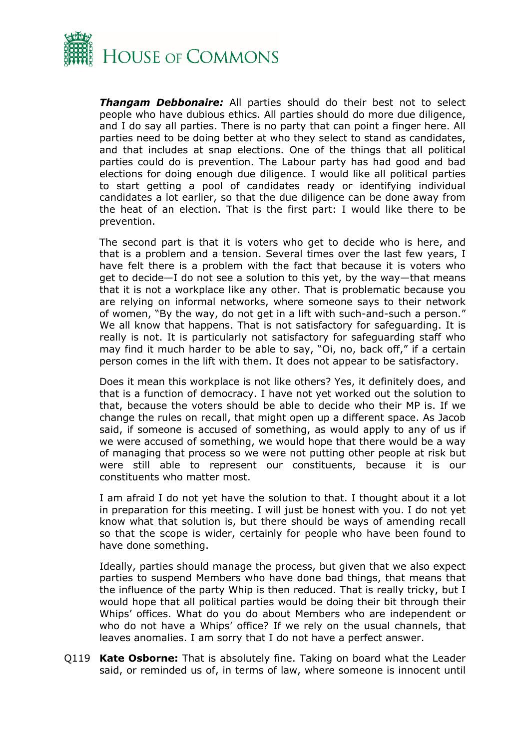

*Thangam Debbonaire:* All parties should do their best not to select people who have dubious ethics. All parties should do more due diligence, and I do say all parties. There is no party that can point a finger here. All parties need to be doing better at who they select to stand as candidates, and that includes at snap elections. One of the things that all political parties could do is prevention. The Labour party has had good and bad elections for doing enough due diligence. I would like all political parties to start getting a pool of candidates ready or identifying individual candidates a lot earlier, so that the due diligence can be done away from the heat of an election. That is the first part: I would like there to be prevention.

The second part is that it is voters who get to decide who is here, and that is a problem and a tension. Several times over the last few years, I have felt there is a problem with the fact that because it is voters who get to decide—I do not see a solution to this yet, by the way—that means that it is not a workplace like any other. That is problematic because you are relying on informal networks, where someone says to their network of women, "By the way, do not get in a lift with such-and-such a person." We all know that happens. That is not satisfactory for safeguarding. It is really is not. It is particularly not satisfactory for safeguarding staff who may find it much harder to be able to say, "Oi, no, back off," if a certain person comes in the lift with them. It does not appear to be satisfactory.

Does it mean this workplace is not like others? Yes, it definitely does, and that is a function of democracy. I have not yet worked out the solution to that, because the voters should be able to decide who their MP is. If we change the rules on recall, that might open up a different space. As Jacob said, if someone is accused of something, as would apply to any of us if we were accused of something, we would hope that there would be a way of managing that process so we were not putting other people at risk but were still able to represent our constituents, because it is our constituents who matter most.

I am afraid I do not yet have the solution to that. I thought about it a lot in preparation for this meeting. I will just be honest with you. I do not yet know what that solution is, but there should be ways of amending recall so that the scope is wider, certainly for people who have been found to have done something.

Ideally, parties should manage the process, but given that we also expect parties to suspend Members who have done bad things, that means that the influence of the party Whip is then reduced. That is really tricky, but I would hope that all political parties would be doing their bit through their Whips' offices. What do you do about Members who are independent or who do not have a Whips' office? If we rely on the usual channels, that leaves anomalies. I am sorry that I do not have a perfect answer.

Q119 **Kate Osborne:** That is absolutely fine. Taking on board what the Leader said, or reminded us of, in terms of law, where someone is innocent until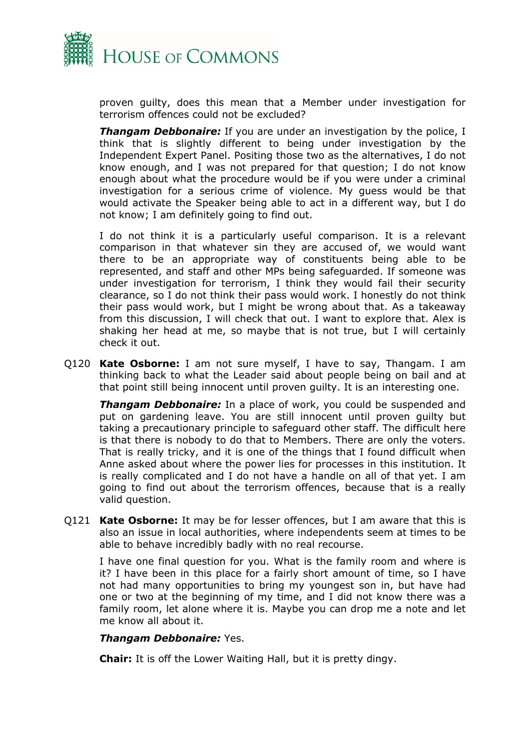

proven guilty, does this mean that a Member under investigation for terrorism offences could not be excluded?

**Thangam Debbonaire:** If you are under an investigation by the police, I think that is slightly different to being under investigation by the Independent Expert Panel. Positing those two as the alternatives, I do not know enough, and I was not prepared for that question; I do not know enough about what the procedure would be if you were under a criminal investigation for a serious crime of violence. My guess would be that would activate the Speaker being able to act in a different way, but I do not know; I am definitely going to find out.

I do not think it is a particularly useful comparison. It is a relevant comparison in that whatever sin they are accused of, we would want there to be an appropriate way of constituents being able to be represented, and staff and other MPs being safeguarded. If someone was under investigation for terrorism, I think they would fail their security clearance, so I do not think their pass would work. I honestly do not think their pass would work, but I might be wrong about that. As a takeaway from this discussion, I will check that out. I want to explore that. Alex is shaking her head at me, so maybe that is not true, but I will certainly check it out.

Q120 **Kate Osborne:** I am not sure myself, I have to say, Thangam. I am thinking back to what the Leader said about people being on bail and at that point still being innocent until proven guilty. It is an interesting one.

*Thangam Debbonaire:* In a place of work, you could be suspended and put on gardening leave. You are still innocent until proven guilty but taking a precautionary principle to safeguard other staff. The difficult here is that there is nobody to do that to Members. There are only the voters. That is really tricky, and it is one of the things that I found difficult when Anne asked about where the power lies for processes in this institution. It is really complicated and I do not have a handle on all of that yet. I am going to find out about the terrorism offences, because that is a really valid question.

Q121 **Kate Osborne:** It may be for lesser offences, but I am aware that this is also an issue in local authorities, where independents seem at times to be able to behave incredibly badly with no real recourse.

I have one final question for you. What is the family room and where is it? I have been in this place for a fairly short amount of time, so I have not had many opportunities to bring my youngest son in, but have had one or two at the beginning of my time, and I did not know there was a family room, let alone where it is. Maybe you can drop me a note and let me know all about it.

#### *Thangam Debbonaire:* Yes.

**Chair:** It is off the Lower Waiting Hall, but it is pretty dingy.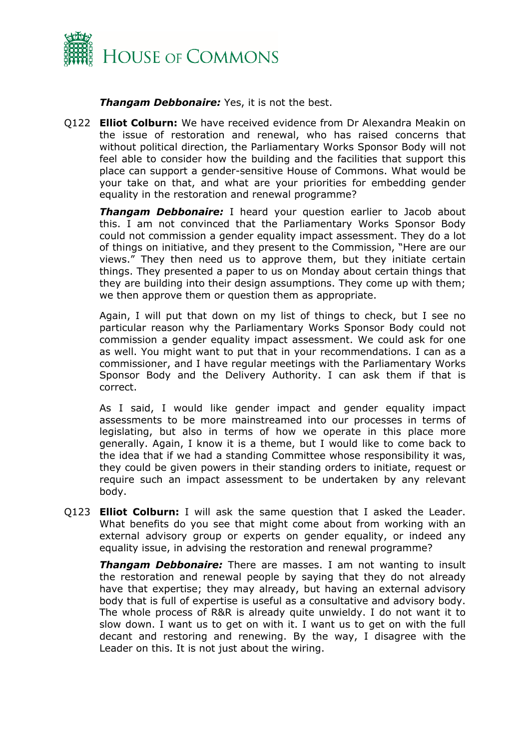

*Thangam Debbonaire:* Yes, it is not the best.

Q122 **Elliot Colburn:** We have received evidence from Dr Alexandra Meakin on the issue of restoration and renewal, who has raised concerns that without political direction, the Parliamentary Works Sponsor Body will not feel able to consider how the building and the facilities that support this place can support a gender-sensitive House of Commons. What would be your take on that, and what are your priorities for embedding gender equality in the restoration and renewal programme?

*Thangam Debbonaire:* I heard your question earlier to Jacob about this. I am not convinced that the Parliamentary Works Sponsor Body could not commission a gender equality impact assessment. They do a lot of things on initiative, and they present to the Commission, "Here are our views." They then need us to approve them, but they initiate certain things. They presented a paper to us on Monday about certain things that they are building into their design assumptions. They come up with them; we then approve them or question them as appropriate.

Again, I will put that down on my list of things to check, but I see no particular reason why the Parliamentary Works Sponsor Body could not commission a gender equality impact assessment. We could ask for one as well. You might want to put that in your recommendations. I can as a commissioner, and I have regular meetings with the Parliamentary Works Sponsor Body and the Delivery Authority. I can ask them if that is correct.

As I said, I would like gender impact and gender equality impact assessments to be more mainstreamed into our processes in terms of legislating, but also in terms of how we operate in this place more generally. Again, I know it is a theme, but I would like to come back to the idea that if we had a standing Committee whose responsibility it was, they could be given powers in their standing orders to initiate, request or require such an impact assessment to be undertaken by any relevant body.

Q123 **Elliot Colburn:** I will ask the same question that I asked the Leader. What benefits do you see that might come about from working with an external advisory group or experts on gender equality, or indeed any equality issue, in advising the restoration and renewal programme?

*Thangam Debbonaire:* There are masses. I am not wanting to insult the restoration and renewal people by saying that they do not already have that expertise; they may already, but having an external advisory body that is full of expertise is useful as a consultative and advisory body. The whole process of R&R is already quite unwieldy. I do not want it to slow down. I want us to get on with it. I want us to get on with the full decant and restoring and renewing. By the way, I disagree with the Leader on this. It is not just about the wiring.